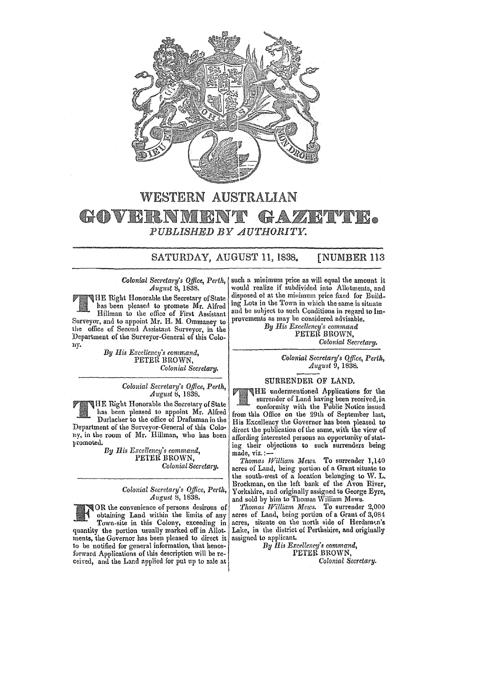

### WESTERN AUSTRALIAN GOVERN  $GAN$ **BALLAN** K *PUBLISHED BY AUTHORITY.*

P

# SATURDAY, AUGUST 11, 1838. [NUMBER 113

#### *Colonial Secretary's Ojfice, Perth, August* 8, 1838.

HE Right Honorable the Secretary ofStaie has been pleased to promote Mr. Alfred Hillman to the office of First Assistant Surveyor, and to appoint Mr. H. M. Ommaney to the office of Second Assistant Surveyor, in the Department of the Surveyor-General of this Cololly.

By His Excellency's command, PETER BROWN, *Colonial Secretary.* 

> *Colonial Secrelary's Qf!ice, Perth, August* S, 1838.

HE Rigllt Honorable the Secretary of State has been pleased to appoint Mr. Alfred Durlacher to the office of Draftsman in the Department of the Surveyor-General of this Colony, in the room of Mr. Hillman, who has been promoted.

> *By His Excellency's command,*  PETER BROWN, *Colonial Secretary.*

> > *Colonial Secretary's Office, Perth, August* 8, 1838.

TOR the convenience of persons desirous of obtaining Land within the limits of any Town-site in this Colony, exceeding in obtaining Land within the limits of any quantity the portion usually marked off in Allotments, the Governor has been pleased to direct it to be notified for general information, that henceforward Applications of this description will be received, and the Land applied for put up to sale at

such a minimum price as will equal the amount it would realize if subdivided into Allotments, and disposed 01 at the minimum price fixed for Build. ing Lots in the Town in which the same is situate and be suhject to such Conditions in regard to Improvements as may be considered advisable.

*By His Excellency's command*  PETER BROWN, *Colonial Secretary.* 

> *Colonial Secretary's Qffice, Perth, August* 9, 1838.

## SURRENDER OF LAND.

HE undermentioned Applications for the surrender of Land having been received, in

conformity with the Public Notice issued from this Office on tbe 29th of September last, His Excellency the Governor bas been pleased to direct the publication of the same, with the view of affording interested persons an opportunity of stating their objections to such surrenders being made, viz. :-

*Thomas William Mews.* To surrender 1,140 acres of Land, being portion of a Grant situate to the south-west of a location belonging to W. L. Brockman, on the left bank of the Avon River, Yorkshire, and originally assigned to George Eyre, and sold by him to Thomas WiIliam Mews.

*'l'homas William Mews.* To surrender 2,000 acres of Land, being portion of a Grant of 3,084 acres, situate on the north side of Herdsman's Lake, in the district of Perthshire, and originally assigned to applicant.

By *His Excellency's command,* rETER BROWN, *Colonial Secretary.*